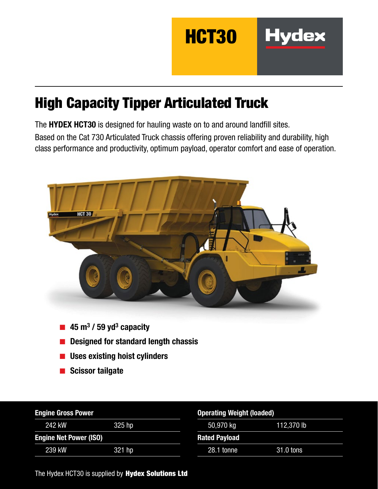

## High Capacity Tipper Articulated Truck

The HYDEX HCT30 is designed for hauling waste on to and around landfill sites. Based on the Cat 730 Articulated Truck chassis offering proven reliability and durability, high class performance and productivity, optimum payload, operator comfort and ease of operation.



- Designed for standard length chassis
- Uses existing hoist cylinders
- Scissor tailgate

| <b>Engine Gross Power</b>     |        | <b>Operating Weight (loaded)</b> |            |  |
|-------------------------------|--------|----------------------------------|------------|--|
| 242 kW                        | 325 hp | 50,970 kg                        | 112,370 lb |  |
| <b>Engine Net Power (ISO)</b> |        | <b>Rated Payload</b>             |            |  |
| 239 kW                        | 321 hp | 28.1 tonne                       | 31.0 tons  |  |

The Hydex HCT30 is supplied by Hydex Solutions Ltd